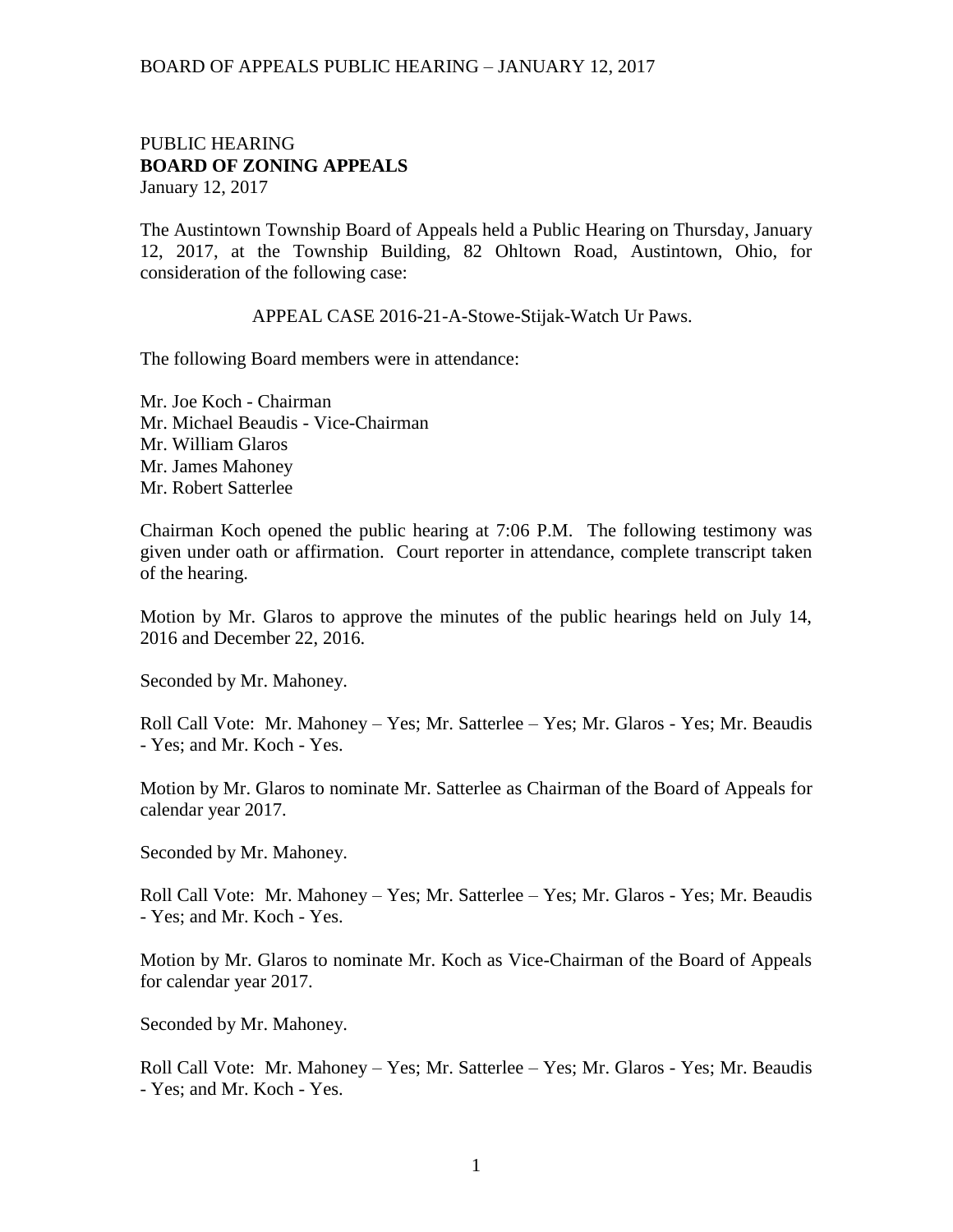#### PUBLIC HEARING **BOARD OF ZONING APPEALS**  January 12, 2017

The Austintown Township Board of Appeals held a Public Hearing on Thursday, January 12, 2017, at the Township Building, 82 Ohltown Road, Austintown, Ohio, for consideration of the following case:

APPEAL CASE 2016-21-A-Stowe-Stijak-Watch Ur Paws.

The following Board members were in attendance:

Mr. Joe Koch - Chairman Mr. Michael Beaudis - Vice-Chairman Mr. William Glaros Mr. James Mahoney Mr. Robert Satterlee

Chairman Koch opened the public hearing at 7:06 P.M. The following testimony was given under oath or affirmation. Court reporter in attendance, complete transcript taken of the hearing.

Motion by Mr. Glaros to approve the minutes of the public hearings held on July 14, 2016 and December 22, 2016.

Seconded by Mr. Mahoney.

Roll Call Vote: Mr. Mahoney – Yes; Mr. Satterlee – Yes; Mr. Glaros - Yes; Mr. Beaudis - Yes; and Mr. Koch - Yes.

Motion by Mr. Glaros to nominate Mr. Satterlee as Chairman of the Board of Appeals for calendar year 2017.

Seconded by Mr. Mahoney.

Roll Call Vote: Mr. Mahoney – Yes; Mr. Satterlee – Yes; Mr. Glaros - Yes; Mr. Beaudis - Yes; and Mr. Koch - Yes.

Motion by Mr. Glaros to nominate Mr. Koch as Vice-Chairman of the Board of Appeals for calendar year 2017.

Seconded by Mr. Mahoney.

Roll Call Vote: Mr. Mahoney – Yes; Mr. Satterlee – Yes; Mr. Glaros - Yes; Mr. Beaudis - Yes; and Mr. Koch - Yes.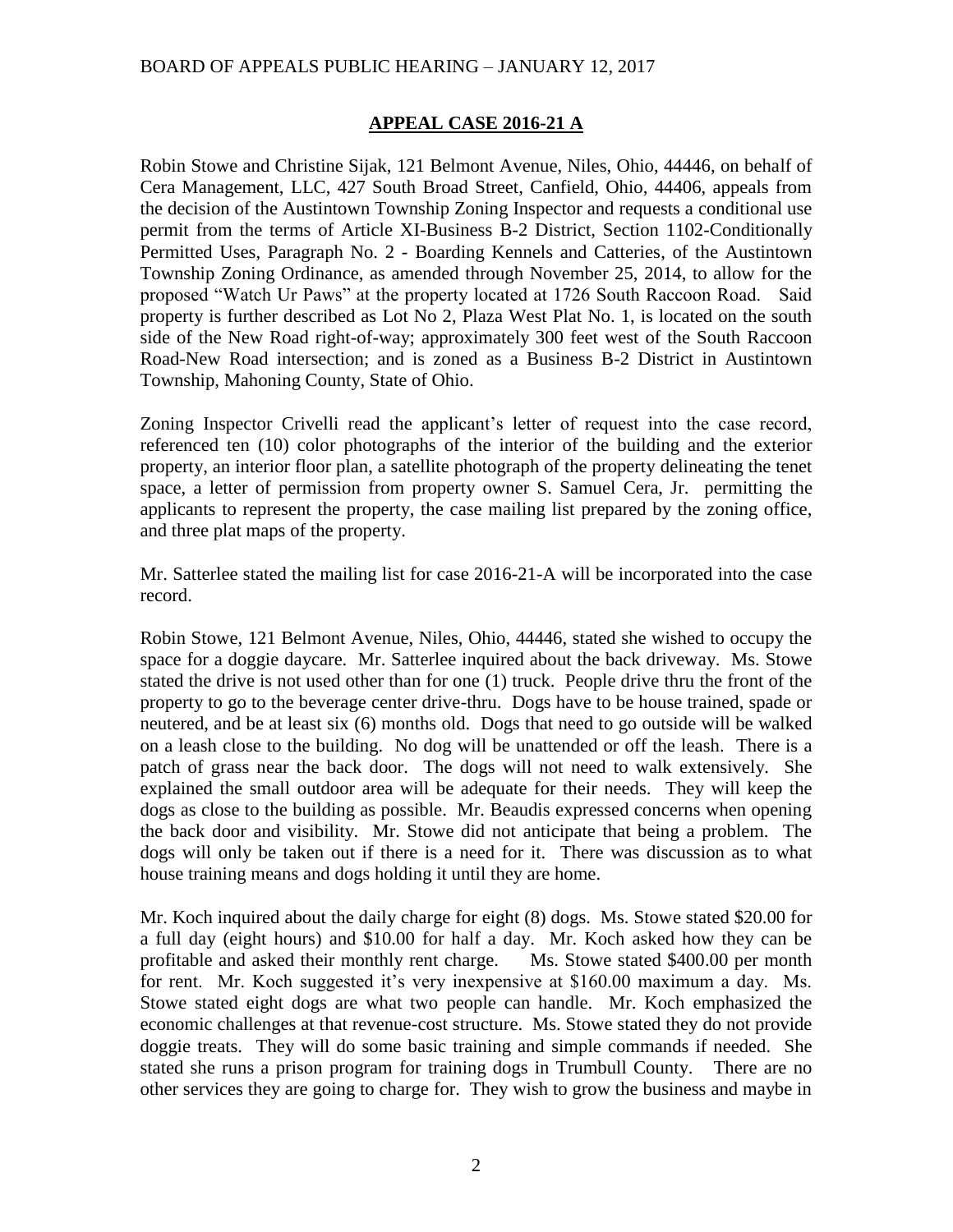### **APPEAL CASE 2016-21 A**

Robin Stowe and Christine Sijak, 121 Belmont Avenue, Niles, Ohio, 44446, on behalf of Cera Management, LLC, 427 South Broad Street, Canfield, Ohio, 44406, appeals from the decision of the Austintown Township Zoning Inspector and requests a conditional use permit from the terms of Article XI-Business B-2 District, Section 1102-Conditionally Permitted Uses, Paragraph No. 2 - Boarding Kennels and Catteries, of the Austintown Township Zoning Ordinance, as amended through November 25, 2014, to allow for the proposed "Watch Ur Paws" at the property located at 1726 South Raccoon Road. Said property is further described as Lot No 2, Plaza West Plat No. 1, is located on the south side of the New Road right-of-way; approximately 300 feet west of the South Raccoon Road-New Road intersection; and is zoned as a Business B-2 District in Austintown Township, Mahoning County, State of Ohio.

Zoning Inspector Crivelli read the applicant's letter of request into the case record, referenced ten (10) color photographs of the interior of the building and the exterior property, an interior floor plan, a satellite photograph of the property delineating the tenet space, a letter of permission from property owner S. Samuel Cera, Jr. permitting the applicants to represent the property, the case mailing list prepared by the zoning office, and three plat maps of the property.

Mr. Satterlee stated the mailing list for case 2016-21-A will be incorporated into the case record.

Robin Stowe, 121 Belmont Avenue, Niles, Ohio, 44446, stated she wished to occupy the space for a doggie daycare. Mr. Satterlee inquired about the back driveway. Ms. Stowe stated the drive is not used other than for one (1) truck. People drive thru the front of the property to go to the beverage center drive-thru. Dogs have to be house trained, spade or neutered, and be at least six (6) months old. Dogs that need to go outside will be walked on a leash close to the building. No dog will be unattended or off the leash. There is a patch of grass near the back door. The dogs will not need to walk extensively. She explained the small outdoor area will be adequate for their needs. They will keep the dogs as close to the building as possible. Mr. Beaudis expressed concerns when opening the back door and visibility. Mr. Stowe did not anticipate that being a problem. The dogs will only be taken out if there is a need for it. There was discussion as to what house training means and dogs holding it until they are home.

Mr. Koch inquired about the daily charge for eight (8) dogs. Ms. Stowe stated \$20.00 for a full day (eight hours) and \$10.00 for half a day. Mr. Koch asked how they can be profitable and asked their monthly rent charge. Ms. Stowe stated \$400.00 per month for rent. Mr. Koch suggested it's very inexpensive at \$160.00 maximum a day. Ms. Stowe stated eight dogs are what two people can handle. Mr. Koch emphasized the economic challenges at that revenue-cost structure. Ms. Stowe stated they do not provide doggie treats. They will do some basic training and simple commands if needed. She stated she runs a prison program for training dogs in Trumbull County. There are no other services they are going to charge for. They wish to grow the business and maybe in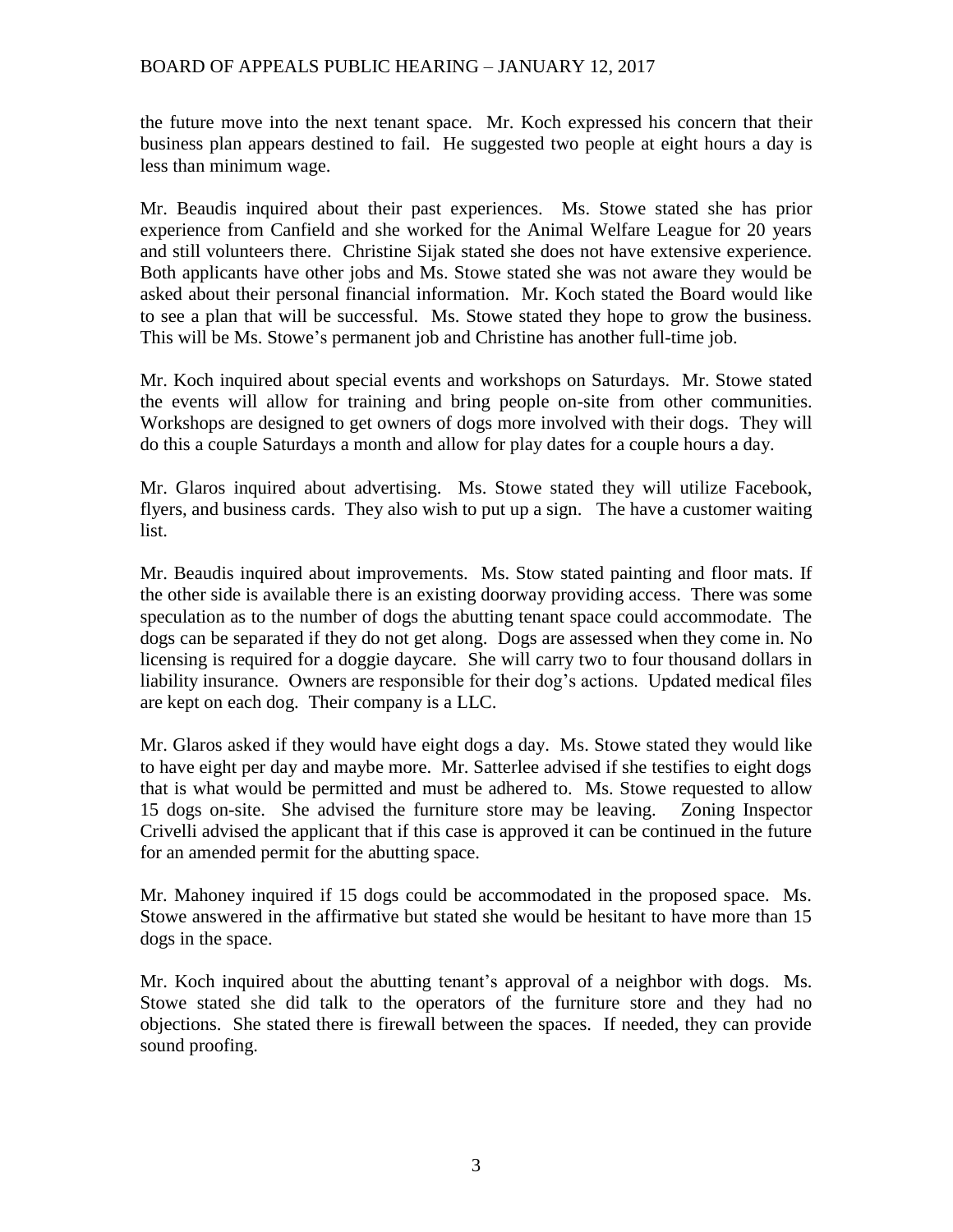the future move into the next tenant space. Mr. Koch expressed his concern that their business plan appears destined to fail. He suggested two people at eight hours a day is less than minimum wage.

Mr. Beaudis inquired about their past experiences. Ms. Stowe stated she has prior experience from Canfield and she worked for the Animal Welfare League for 20 years and still volunteers there. Christine Sijak stated she does not have extensive experience. Both applicants have other jobs and Ms. Stowe stated she was not aware they would be asked about their personal financial information. Mr. Koch stated the Board would like to see a plan that will be successful. Ms. Stowe stated they hope to grow the business. This will be Ms. Stowe's permanent job and Christine has another full-time job.

Mr. Koch inquired about special events and workshops on Saturdays. Mr. Stowe stated the events will allow for training and bring people on-site from other communities. Workshops are designed to get owners of dogs more involved with their dogs. They will do this a couple Saturdays a month and allow for play dates for a couple hours a day.

Mr. Glaros inquired about advertising. Ms. Stowe stated they will utilize Facebook, flyers, and business cards. They also wish to put up a sign. The have a customer waiting list.

Mr. Beaudis inquired about improvements. Ms. Stow stated painting and floor mats. If the other side is available there is an existing doorway providing access. There was some speculation as to the number of dogs the abutting tenant space could accommodate. The dogs can be separated if they do not get along. Dogs are assessed when they come in. No licensing is required for a doggie daycare. She will carry two to four thousand dollars in liability insurance. Owners are responsible for their dog's actions. Updated medical files are kept on each dog. Their company is a LLC.

Mr. Glaros asked if they would have eight dogs a day. Ms. Stowe stated they would like to have eight per day and maybe more. Mr. Satterlee advised if she testifies to eight dogs that is what would be permitted and must be adhered to. Ms. Stowe requested to allow 15 dogs on-site. She advised the furniture store may be leaving. Zoning Inspector Crivelli advised the applicant that if this case is approved it can be continued in the future for an amended permit for the abutting space.

Mr. Mahoney inquired if 15 dogs could be accommodated in the proposed space. Ms. Stowe answered in the affirmative but stated she would be hesitant to have more than 15 dogs in the space.

Mr. Koch inquired about the abutting tenant's approval of a neighbor with dogs. Ms. Stowe stated she did talk to the operators of the furniture store and they had no objections. She stated there is firewall between the spaces. If needed, they can provide sound proofing.